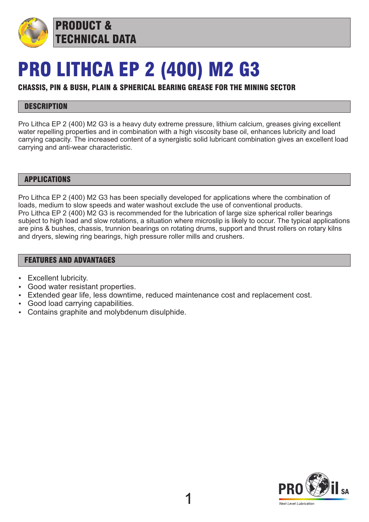

PRODUCT & TECHNICAL DATA

# PRO LITHCA EP 2 (400) M2 G3

## CHASSIS, PIN & BUSH, PLAIN & SPHERICAL BEARING GREASE FOR THE MINING SECTOR

## **DESCRIPTION**

Pro Lithca EP 2 (400) M2 G3 is a heavy duty extreme pressure, lithium calcium, greases giving excellent water repelling properties and in combination with a high viscosity base oil, enhances lubricity and load carrying capacity. The increased content of a synergistic solid lubricant combination gives an excellent load carrying and anti-wear characteristic.

#### APPLICATIONS

Pro Lithca EP 2 (400) M2 G3 has been specially developed for applications where the combination of loads, medium to slow speeds and water washout exclude the use of conventional products. Pro Lithca EP 2 (400) M2 G3 is recommended for the lubrication of large size spherical roller bearings subject to high load and slow rotations, a situation where microslip is likely to occur. The typical applications are pins & bushes, chassis, trunnion bearings on rotating drums, support and thrust rollers on rotary kilns and dryers, slewing ring bearings, high pressure roller mills and crushers.

### FEATURES AND ADVANTAGES

- **Excellent lubricity.**
- Good water resistant properties.
- Extended gear life, less downtime, reduced maintenance cost and replacement cost.
- Good load carrying capabilities.
- Contains graphite and molybdenum disulphide.